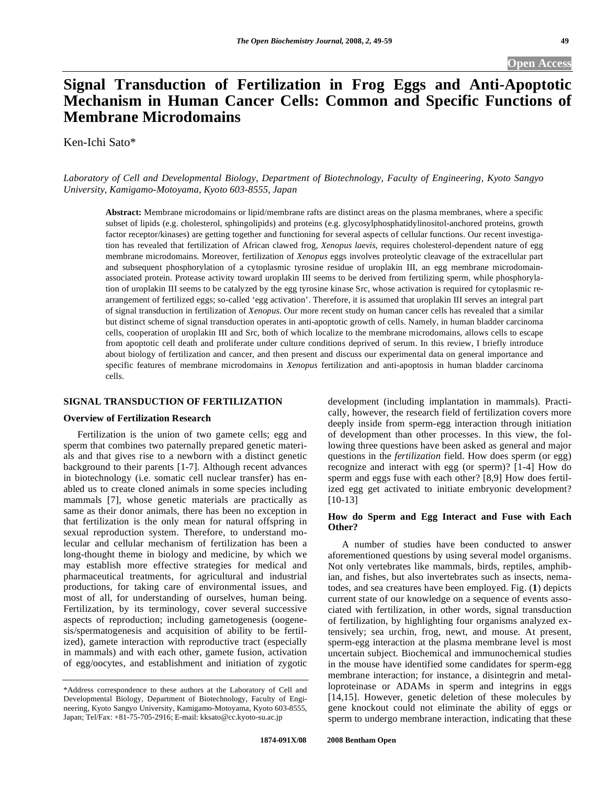# **Signal Transduction of Fertilization in Frog Eggs and Anti-Apoptotic Mechanism in Human Cancer Cells: Common and Specific Functions of Membrane Microdomains**

Ken-Ichi Sato\*

*Laboratory of Cell and Developmental Biology, Department of Biotechnology, Faculty of Engineering, Kyoto Sangyo University, Kamigamo-Motoyama, Kyoto 603-8555, Japan* 

**Abstract:** Membrane microdomains or lipid/membrane rafts are distinct areas on the plasma membranes, where a specific subset of lipids (e.g. cholesterol, sphingolipids) and proteins (e.g. glycosylphosphatidylinositol-anchored proteins, growth factor receptor/kinases) are getting together and functioning for several aspects of cellular functions. Our recent investigation has revealed that fertilization of African clawed frog, *Xenopus laevis*, requires cholesterol-dependent nature of egg membrane microdomains. Moreover, fertilization of *Xenopus* eggs involves proteolytic cleavage of the extracellular part and subsequent phosphorylation of a cytoplasmic tyrosine residue of uroplakin III, an egg membrane microdomainassociated protein. Protease activity toward uroplakin III seems to be derived from fertilizing sperm, while phosphorylation of uroplakin III seems to be catalyzed by the egg tyrosine kinase Src, whose activation is required for cytoplasmic rearrangement of fertilized eggs; so-called 'egg activation'. Therefore, it is assumed that uroplakin III serves an integral part of signal transduction in fertilization of *Xenopus*. Our more recent study on human cancer cells has revealed that a similar but distinct scheme of signal transduction operates in anti-apoptotic growth of cells. Namely, in human bladder carcinoma cells, cooperation of uroplakin III and Src, both of which localize to the membrane microdomains, allows cells to escape from apoptotic cell death and proliferate under culture conditions deprived of serum. In this review, I briefly introduce about biology of fertilization and cancer, and then present and discuss our experimental data on general importance and specific features of membrane microdomains in *Xenopus* fertilization and anti-apoptosis in human bladder carcinoma cells.

#### **SIGNAL TRANSDUCTION OF FERTILIZATION**

#### **Overview of Fertilization Research**

 Fertilization is the union of two gamete cells; egg and sperm that combines two paternally prepared genetic materials and that gives rise to a newborn with a distinct genetic background to their parents [1-7]. Although recent advances in biotechnology (i.e. somatic cell nuclear transfer) has enabled us to create cloned animals in some species including mammals [7], whose genetic materials are practically as same as their donor animals, there has been no exception in that fertilization is the only mean for natural offspring in sexual reproduction system. Therefore, to understand molecular and cellular mechanism of fertilization has been a long-thought theme in biology and medicine, by which we may establish more effective strategies for medical and pharmaceutical treatments, for agricultural and industrial productions, for taking care of environmental issues, and most of all, for understanding of ourselves, human being. Fertilization, by its terminology, cover several successive aspects of reproduction; including gametogenesis (oogenesis/spermatogenesis and acquisition of ability to be fertilized), gamete interaction with reproductive tract (especially in mammals) and with each other, gamete fusion, activation of egg/oocytes, and establishment and initiation of zygotic

development (including implantation in mammals). Practically, however, the research field of fertilization covers more deeply inside from sperm-egg interaction through initiation of development than other processes. In this view, the following three questions have been asked as general and major questions in the *fertilization* field. How does sperm (or egg) recognize and interact with egg (or sperm)? [1-4] How do sperm and eggs fuse with each other? [8,9] How does fertilized egg get activated to initiate embryonic development? [10-13]

## **How do Sperm and Egg Interact and Fuse with Each Other?**

 A number of studies have been conducted to answer aforementioned questions by using several model organisms. Not only vertebrates like mammals, birds, reptiles, amphibian, and fishes, but also invertebrates such as insects, nematodes, and sea creatures have been employed. Fig. (**1**) depicts current state of our knowledge on a sequence of events associated with fertilization, in other words, signal transduction of fertilization, by highlighting four organisms analyzed extensively; sea urchin, frog, newt, and mouse. At present, sperm-egg interaction at the plasma membrane level is most uncertain subject. Biochemical and immunochemical studies in the mouse have identified some candidates for sperm-egg membrane interaction; for instance, a disintegrin and metalloproteinase or ADAMs in sperm and integrins in eggs [14,15]. However, genetic deletion of these molecules by gene knockout could not eliminate the ability of eggs or sperm to undergo membrane interaction, indicating that these

<sup>\*</sup>Address correspondence to these authors at the Laboratory of Cell and Developmental Biology, Department of Biotechnology, Faculty of Engineering, Kyoto Sangyo University, Kamigamo-Motoyama, Kyoto 603-8555, Japan; Tel/Fax: +81-75-705-2916; E-mail: kksato@cc.kyoto-su.ac.jp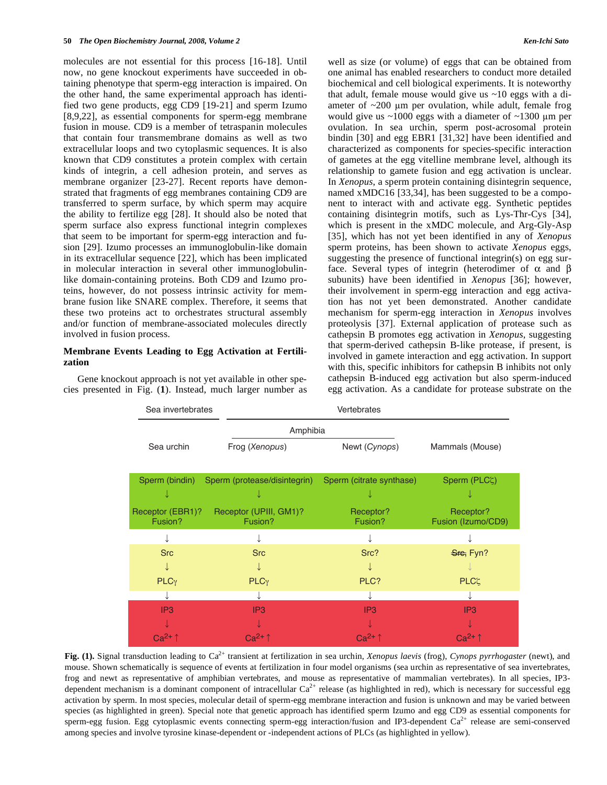molecules are not essential for this process [16-18]. Until now, no gene knockout experiments have succeeded in obtaining phenotype that sperm-egg interaction is impaired. On the other hand, the same experimental approach has identified two gene products, egg CD9 [19-21] and sperm Izumo [8,9,22], as essential components for sperm-egg membrane fusion in mouse. CD9 is a member of tetraspanin molecules that contain four transmembrane domains as well as two extracellular loops and two cytoplasmic sequences. It is also known that CD9 constitutes a protein complex with certain kinds of integrin, a cell adhesion protein, and serves as membrane organizer [23-27]. Recent reports have demonstrated that fragments of egg membranes containing CD9 are transferred to sperm surface, by which sperm may acquire the ability to fertilize egg [28]. It should also be noted that sperm surface also express functional integrin complexes that seem to be important for sperm-egg interaction and fusion [29]. Izumo processes an immunoglobulin-like domain in its extracellular sequence [22], which has been implicated in molecular interaction in several other immunoglobulinlike domain-containing proteins. Both CD9 and Izumo proteins, however, do not possess intrinsic activity for membrane fusion like SNARE complex. Therefore, it seems that these two proteins act to orchestrates structural assembly and/or function of membrane-associated molecules directly involved in fusion process.

#### **Membrane Events Leading to Egg Activation at Fertilization**

 Gene knockout approach is not yet available in other species presented in Fig. (**1**). Instead, much larger number as

Sea invertebrates vertebrates

well as size (or volume) of eggs that can be obtained from one animal has enabled researchers to conduct more detailed biochemical and cell biological experiments. It is noteworthy that adult, female mouse would give us  $\sim$ 10 eggs with a diameter of  $\sim$ 200 µm per ovulation, while adult, female frog would give us  $\sim$ 1000 eggs with a diameter of  $\sim$ 1300 µm per ovulation. In sea urchin, sperm post-acrosomal protein bindin [30] and egg EBR1 [31,32] have been identified and characterized as components for species-specific interaction of gametes at the egg vitelline membrane level, although its relationship to gamete fusion and egg activation is unclear. In *Xenopus*, a sperm protein containing disintegrin sequence, named xMDC16 [33,34], has been suggested to be a component to interact with and activate egg. Synthetic peptides containing disintegrin motifs, such as Lys-Thr-Cys [34], which is present in the xMDC molecule, and Arg-Gly-Asp [35], which has not yet been identified in any of *Xenopus* sperm proteins, has been shown to activate *Xenopus* eggs, suggesting the presence of functional integrin(s) on egg surface. Several types of integrin (heterodimer of  $\alpha$  and  $\beta$ subunits) have been identified in *Xenopus* [36]; however, their involvement in sperm-egg interaction and egg activation has not yet been demonstrated. Another candidate mechanism for sperm-egg interaction in *Xenopus* involves proteolysis [37]. External application of protease such as cathepsin B promotes egg activation in *Xenopus*, suggesting that sperm-derived cathepsin B-like protease, if present, is involved in gamete interaction and egg activation. In support with this, specific inhibitors for cathepsin B inhibits not only cathepsin B-induced egg activation but also sperm-induced egg activation. As a candidate for protease substrate on the

| Sea urchin                  | Frog (Xenopus)                    | Newt (Cynops)<br>Mammals (Mouse)                        |  |
|-----------------------------|-----------------------------------|---------------------------------------------------------|--|
|                             |                                   |                                                         |  |
| Sperm (bindin)              | Sperm (protease/disintegrin)      | Sperm (citrate synthase)<br>Sperm (PLCζ)                |  |
|                             |                                   |                                                         |  |
| Receptor (EBR1)?<br>Fusion? | Receptor (UPIII, GM1)?<br>Fusion? | Receptor?<br>Receptor?<br>Fusion?<br>Fusion (Izumo/CD9) |  |
|                             |                                   |                                                         |  |
| <b>Src</b>                  | <b>Src</b>                        | Src?<br>S <sub>iff</sub> , Fyn?                         |  |
|                             |                                   |                                                         |  |
| PLC <sub>Y</sub>            | PLC <sub>Y</sub>                  | PLC?<br>$PLC\zeta$                                      |  |
|                             |                                   |                                                         |  |
| IP <sub>3</sub>             | IP <sub>3</sub>                   | IP <sub>3</sub><br>IP <sub>3</sub>                      |  |
|                             |                                   |                                                         |  |
| $Ca^{2+} \uparrow$          | $Ca^{2+} \uparrow$                | $Ca2+ \uparrow$<br>$Ca^{2+} \uparrow$                   |  |

mouse. Shown schematically is sequence of events at fertilization in four model organisms (sea urchin as representative of sea invertebrates, frog and newt as representative of amphibian vertebrates, and mouse as representative of mammalian vertebrates). In all species, IP3 dependent mechanism is a dominant component of intracellular  $Ca^{2+}$  release (as highlighted in red), which is necessary for successful egg activation by sperm. In most species, molecular detail of sperm-egg membrane interaction and fusion is unknown and may be varied between species (as highlighted in green). Special note that genetic approach has identified sperm Izumo and egg CD9 as essential components for sperm-egg fusion. Egg cytoplasmic events connecting sperm-egg interaction/fusion and IP3-dependent  $Ca^{2+}$  release are semi-conserved among species and involve tyrosine kinase-dependent or -independent actions of PLCs (as highlighted in yellow).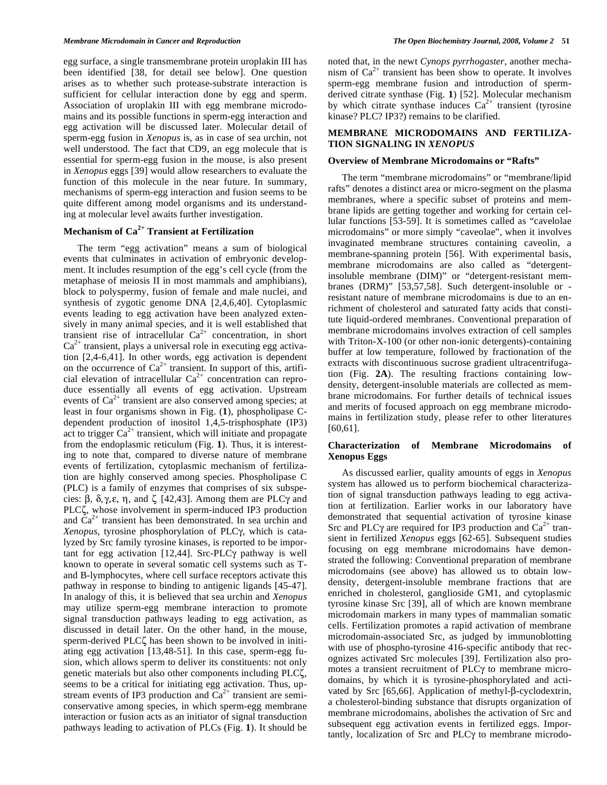egg surface, a single transmembrane protein uroplakin III has been identified [38, for detail see below]. One question arises as to whether such protease-substrate interaction is sufficient for cellular interaction done by egg and sperm. Association of uroplakin III with egg membrane microdomains and its possible functions in sperm-egg interaction and egg activation will be discussed later. Molecular detail of sperm-egg fusion in *Xenopus* is, as in case of sea urchin, not well understood. The fact that CD9, an egg molecule that is essential for sperm-egg fusion in the mouse, is also present in *Xenopus* eggs [39] would allow researchers to evaluate the function of this molecule in the near future. In summary, mechanisms of sperm-egg interaction and fusion seems to be quite different among model organisms and its understanding at molecular level awaits further investigation.

## **Mechanism of Ca2+ Transient at Fertilization**

 The term "egg activation" means a sum of biological events that culminates in activation of embryonic development. It includes resumption of the egg's cell cycle (from the metaphase of meiosis II in most mammals and amphibians), block to polyspermy, fusion of female and male nuclei, and synthesis of zygotic genome DNA [2,4,6,40]. Cytoplasmic events leading to egg activation have been analyzed extensively in many animal species, and it is well established that transient rise of intracellular  $Ca^{2+}$  concentration, in short  $Ca<sup>2+</sup>$  transient, plays a universal role in executing egg activation [2,4-6,41]. In other words, egg activation is dependent on the occurrence of  $Ca^{2+}$  transient. In support of this, artificial elevation of intracellular  $Ca^{2+}$  concentration can reproduce essentially all events of egg activation. Upstream events of  $Ca^{2+}$  transient are also conserved among species; at least in four organisms shown in Fig. (**1**), phospholipase Cdependent production of inositol 1,4,5-trisphosphate (IP3) act to trigger  $Ca^{2+}$  transient, which will initiate and propagate from the endoplasmic reticulum (Fig. **1**). Thus, it is interesting to note that, compared to diverse nature of membrane events of fertilization, cytoplasmic mechanism of fertilization are highly conserved among species. Phospholipase C (PLC) is a family of enzymes that comprises of six subspecies:  $\beta$ ,  $\delta$ ,  $\gamma$ ,  $\epsilon$ ,  $\eta$ , and  $\zeta$  [42,43]. Among them are PLC $\gamma$  and PLC $\zeta$ , whose involvement in sperm-induced IP3 production and  $Ca<sup>2+</sup>$  transient has been demonstrated. In sea urchin and *Xenopus*, tyrosine phosphorylation of PLC, which is catalyzed by Src family tyrosine kinases, is reported to be important for egg activation  $[12,44]$ . Src-PLC $\gamma$  pathway is well known to operate in several somatic cell systems such as Tand B-lymphocytes, where cell surface receptors activate this pathway in response to binding to antigenic ligands [45-47]. In analogy of this, it is believed that sea urchin and *Xenopus* may utilize sperm-egg membrane interaction to promote signal transduction pathways leading to egg activation, as discussed in detail later. On the other hand, in the mouse, sperm-derived PLC $\zeta$  has been shown to be involved in initiating egg activation [13,48-51]. In this case, sperm-egg fusion, which allows sperm to deliver its constituents: not only genetic materials but also other components including PLC, seems to be a critical for initiating egg activation. Thus, upstream events of IP3 production and  $Ca<sup>2+</sup>$  transient are semiconservative among species, in which sperm-egg membrane interaction or fusion acts as an initiator of signal transduction pathways leading to activation of PLCs (Fig. **1**). It should be

noted that, in the newt *Cynops pyrrhogaster*, another mechanism of  $Ca^{2+}$  transient has been show to operate. It involves sperm-egg membrane fusion and introduction of spermderived citrate synthase (Fig. **1**) [52]. Molecular mechanism by which citrate synthase induces  $Ca^{2+}$  transient (tyrosine kinase? PLC? IP3?) remains to be clarified.

## **MEMBRANE MICRODOMAINS AND FERTILIZA-TION SIGNALING IN** *XENOPUS*

#### **Overview of Membrane Microdomains or "Rafts"**

 The term "membrane microdomains" or "membrane/lipid rafts" denotes a distinct area or micro-segment on the plasma membranes, where a specific subset of proteins and membrane lipids are getting together and working for certain cellular functions [53-59]. It is sometimes called as "cavelolae microdomains" or more simply "caveolae", when it involves invaginated membrane structures containing caveolin, a membrane-spanning protein [56]. With experimental basis, membrane microdomains are also called as "detergentinsoluble membrane (DIM)" or "detergent-resistant membranes (DRM)" [53,57,58]. Such detergent-insoluble or resistant nature of membrane microdomains is due to an enrichment of cholesterol and saturated fatty acids that constitute liquid-ordered membranes. Conventional preparation of membrane microdomains involves extraction of cell samples with Triton-X-100 (or other non-ionic detergents)-containing buffer at low temperature, followed by fractionation of the extracts with discontinuous sucrose gradient ultracentrifugation (Fig. **2A**). The resulting fractions containing lowdensity, detergent-insoluble materials are collected as membrane microdomains. For further details of technical issues and merits of focused approach on egg membrane microdomains in fertilization study, please refer to other literatures [60,61].

## **Characterization of Membrane Microdomains of Xenopus Eggs**

 As discussed earlier, quality amounts of eggs in *Xenopus* system has allowed us to perform biochemical characterization of signal transduction pathways leading to egg activation at fertilization. Earlier works in our laboratory have demonstrated that sequential activation of tyrosine kinase Src and PLC $\gamma$  are required for IP3 production and Ca<sup>2+</sup> transient in fertilized *Xenopus* eggs [62-65]. Subsequent studies focusing on egg membrane microdomains have demonstrated the following: Conventional preparation of membrane microdomains (see above) has allowed us to obtain lowdensity, detergent-insoluble membrane fractions that are enriched in cholesterol, ganglioside GM1, and cytoplasmic tyrosine kinase Src [39], all of which are known membrane microdomain markers in many types of mammalian somatic cells. Fertilization promotes a rapid activation of membrane microdomain-associated Src, as judged by immunoblotting with use of phospho-tyrosine 416-specific antibody that recognizes activated Src molecules [39]. Fertilization also promotes a transient recruitment of  $PLC\gamma$  to membrane microdomains, by which it is tyrosine-phosphorylated and activated by Src  $[65,66]$ . Application of methyl- $\beta$ -cyclodextrin, a cholesterol-binding substance that disrupts organization of membrane microdomains, abolishes the activation of Src and subsequent egg activation events in fertilized eggs. Importantly, localization of Src and PLC $\gamma$  to membrane microdo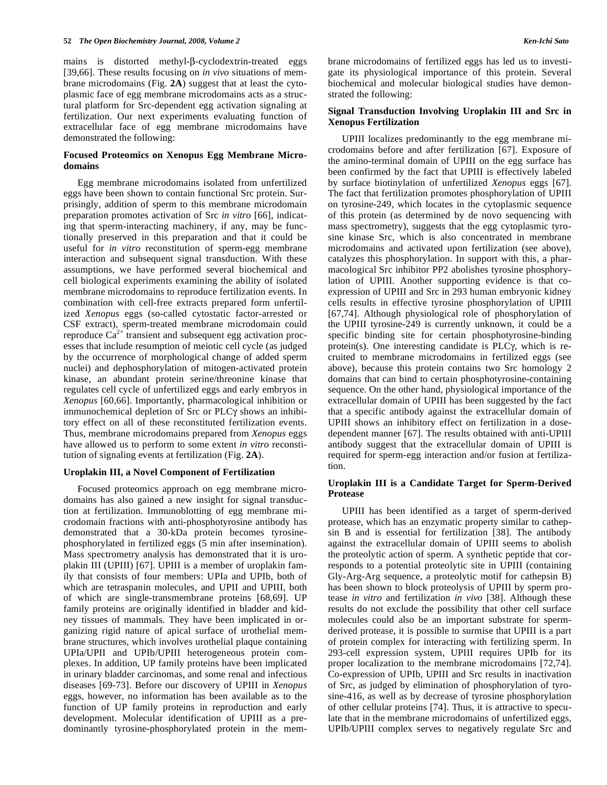mains is distorted methyl- $\beta$ -cyclodextrin-treated eggs [39,66]. These results focusing on *in vivo* situations of membrane microdomains (Fig. **2A**) suggest that at least the cytoplasmic face of egg membrane microdomains acts as a structural platform for Src-dependent egg activation signaling at fertilization. Our next experiments evaluating function of extracellular face of egg membrane microdomains have demonstrated the following:

## **Focused Proteomics on Xenopus Egg Membrane Microdomains**

 Egg membrane microdomains isolated from unfertilized eggs have been shown to contain functional Src protein. Surprisingly, addition of sperm to this membrane microdomain preparation promotes activation of Src *in vitro* [66], indicating that sperm-interacting machinery, if any, may be functionally preserved in this preparation and that it could be useful for *in vitro* reconstitution of sperm-egg membrane interaction and subsequent signal transduction. With these assumptions, we have performed several biochemical and cell biological experiments examining the ability of isolated membrane microdomains to reproduce fertilization events. In combination with cell-free extracts prepared form unfertilized *Xenopus* eggs (so-called cytostatic factor-arrested or CSF extract), sperm-treated membrane microdomain could reproduce  $Ca^{2+}$  transient and subsequent egg activation processes that include resumption of meiotic cell cycle (as judged by the occurrence of morphological change of added sperm nuclei) and dephosphorylation of mitogen-activated protein kinase, an abundant protein serine/threonine kinase that regulates cell cycle of unfertilized eggs and early embryos in *Xenopus* [60,66]. Importantly, pharmacological inhibition or immunochemical depletion of Src or PLCy shows an inhibitory effect on all of these reconstituted fertilization events. Thus, membrane microdomains prepared from *Xenopus* eggs have allowed us to perform to some extent *in vitro* reconstitution of signaling events at fertilization (Fig. **2A**).

#### **Uroplakin III, a Novel Component of Fertilization**

 Focused proteomics approach on egg membrane microdomains has also gained a new insight for signal transduction at fertilization. Immunoblotting of egg membrane microdomain fractions with anti-phosphotyrosine antibody has demonstrated that a 30-kDa protein becomes tyrosinephosphorylated in fertilized eggs (5 min after insemination). Mass spectrometry analysis has demonstrated that it is uroplakin III (UPIII) [67]. UPIII is a member of uroplakin family that consists of four members: UPIa and UPIb, both of which are tetraspanin molecules, and UPII and UPIII, both of which are single-transmembrane proteins [68,69]. UP family proteins are originally identified in bladder and kidney tissues of mammals. They have been implicated in organizing rigid nature of apical surface of urothelial membrane structures, which involves urothelial plaque containing UPIa/UPII and UPIb/UPIII heterogeneous protein complexes. In addition, UP family proteins have been implicated in urinary bladder carcinomas, and some renal and infectious diseases [69-73]. Before our discovery of UPIII in *Xenopus* eggs, however, no information has been available as to the function of UP family proteins in reproduction and early development. Molecular identification of UPIII as a predominantly tyrosine-phosphorylated protein in the membrane microdomains of fertilized eggs has led us to investigate its physiological importance of this protein. Several biochemical and molecular biological studies have demonstrated the following:

#### **Signal Transduction Involving Uroplakin III and Src in Xenopus Fertilization**

 UPIII localizes predominantly to the egg membrane microdomains before and after fertilization [67]. Exposure of the amino-terminal domain of UPIII on the egg surface has been confirmed by the fact that UPIII is effectively labeled by surface biotinylation of unfertilized *Xenopus* eggs [67]. The fact that fertilization promotes phosphorylation of UPIII on tyrosine-249, which locates in the cytoplasmic sequence of this protein (as determined by de novo sequencing with mass spectrometry), suggests that the egg cytoplasmic tyrosine kinase Src, which is also concentrated in membrane microdomains and activated upon fertilization (see above), catalyzes this phosphorylation. In support with this, a pharmacological Src inhibitor PP2 abolishes tyrosine phosphorylation of UPIII. Another supporting evidence is that coexpression of UPIII and Src in 293 human embryonic kidney cells results in effective tyrosine phosphorylation of UPIII [67,74]. Although physiological role of phosphorylation of the UPIII tyrosine-249 is currently unknown, it could be a specific binding site for certain phosphotyrosine-binding protein(s). One interesting candidate is PLC $\gamma$ , which is recruited to membrane microdomains in fertilized eggs (see above), because this protein contains two Src homology 2 domains that can bind to certain phosphotyrosine-containing sequence. On the other hand, physiological importance of the extracellular domain of UPIII has been suggested by the fact that a specific antibody against the extracellular domain of UPIII shows an inhibitory effect on fertilization in a dosedependent manner [67]. The results obtained with anti-UPIII antibody suggest that the extracellular domain of UPIII is required for sperm-egg interaction and/or fusion at fertilization.

#### **Uroplakin III is a Candidate Target for Sperm-Derived Protease**

 UPIII has been identified as a target of sperm-derived protease, which has an enzymatic property similar to cathepsin B and is essential for fertilization [38]. The antibody against the extracellular domain of UPIII seems to abolish the proteolytic action of sperm. A synthetic peptide that corresponds to a potential proteolytic site in UPIII (containing Gly-Arg-Arg sequence, a proteolytic motif for cathepsin B) has been shown to block proteolysis of UPIII by sperm protease *in vitro* and fertilization *in vivo* [38]. Although these results do not exclude the possibility that other cell surface molecules could also be an important substrate for spermderived protease, it is possible to surmise that UPIII is a part of protein complex for interacting with fertilizing sperm. In 293-cell expression system, UPIII requires UPIb for its proper localization to the membrane microdomains [72,74]. Co-expression of UPIb, UPIII and Src results in inactivation of Src, as judged by elimination of phosphorylation of tyrosine-416, as well as by decrease of tyrosine phosphorylation of other cellular proteins [74]. Thus, it is attractive to speculate that in the membrane microdomains of unfertilized eggs, UPIb/UPIII complex serves to negatively regulate Src and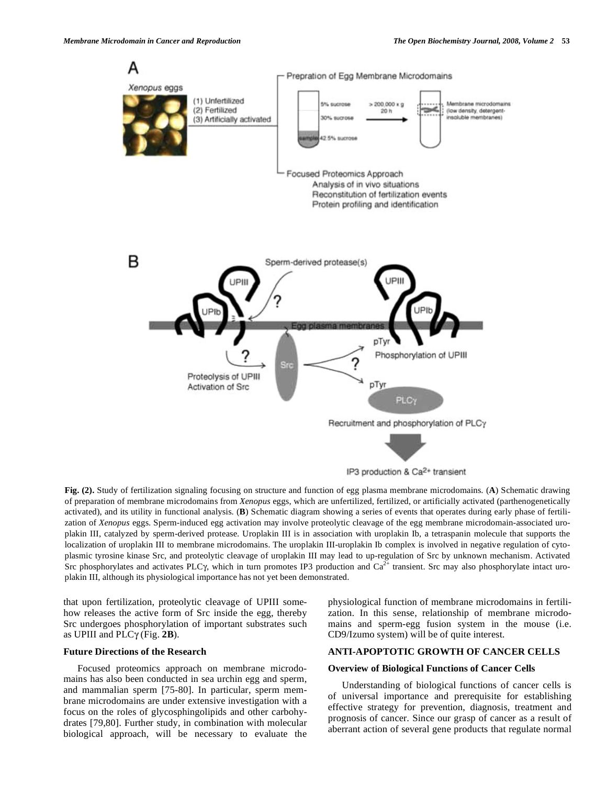

**Fig. (2).** Study of fertilization signaling focusing on structure and function of egg plasma membrane microdomains. (**A**) Schematic drawing of preparation of membrane microdomains from *Xenopus* eggs, which are unfertilized, fertilized, or artificially activated (parthenogenetically activated), and its utility in functional analysis. (**B**) Schematic diagram showing a series of events that operates during early phase of fertilization of *Xenopus* eggs. Sperm-induced egg activation may involve proteolytic cleavage of the egg membrane microdomain-associated uroplakin III, catalyzed by sperm-derived protease. Uroplakin III is in association with uroplakin Ib, a tetraspanin molecule that supports the localization of uroplakin III to membrane microdomains. The uroplakin III-uroplakin Ib complex is involved in negative regulation of cytoplasmic tyrosine kinase Src, and proteolytic cleavage of uroplakin III may lead to up-regulation of Src by unknown mechanism. Activated Src phosphorylates and activates PLC $\gamma$ , which in turn promotes IP3 production and  $Ca^{2+}$  transient. Src may also phosphorylate intact uroplakin III, although its physiological importance has not yet been demonstrated.

that upon fertilization, proteolytic cleavage of UPIII somehow releases the active form of Src inside the egg, thereby Src undergoes phosphorylation of important substrates such as UPIII and  $PLC\gamma$  (Fig. 2B).

#### **Future Directions of the Research**

 Focused proteomics approach on membrane microdomains has also been conducted in sea urchin egg and sperm, and mammalian sperm [75-80]. In particular, sperm membrane microdomains are under extensive investigation with a focus on the roles of glycosphingolipids and other carbohydrates [79,80]. Further study, in combination with molecular biological approach, will be necessary to evaluate the physiological function of membrane microdomains in fertilization. In this sense, relationship of membrane microdomains and sperm-egg fusion system in the mouse (i.e. CD9/Izumo system) will be of quite interest.

#### **ANTI-APOPTOTIC GROWTH OF CANCER CELLS**

#### **Overview of Biological Functions of Cancer Cells**

 Understanding of biological functions of cancer cells is of universal importance and prerequisite for establishing effective strategy for prevention, diagnosis, treatment and prognosis of cancer. Since our grasp of cancer as a result of aberrant action of several gene products that regulate normal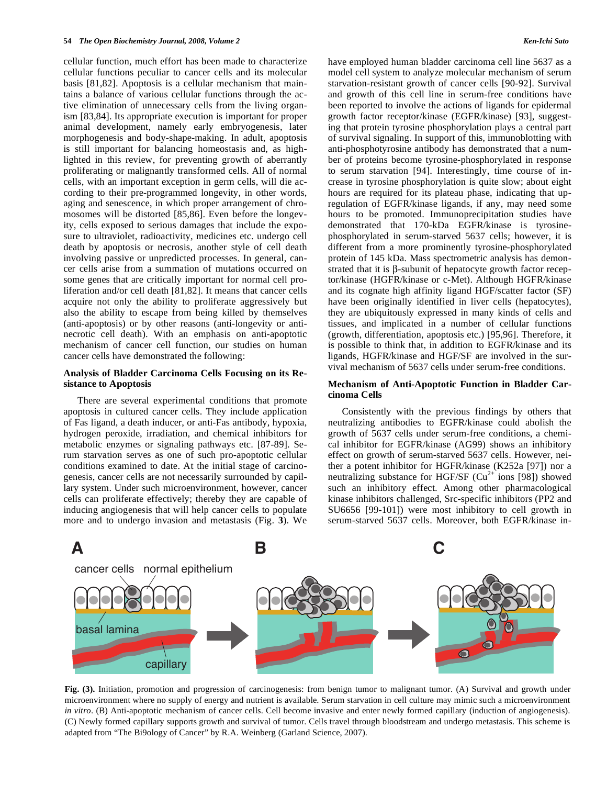cellular function, much effort has been made to characterize cellular functions peculiar to cancer cells and its molecular basis [81,82]. Apoptosis is a cellular mechanism that maintains a balance of various cellular functions through the active elimination of unnecessary cells from the living organism [83,84]. Its appropriate execution is important for proper animal development, namely early embryogenesis, later morphogenesis and body-shape-making. In adult, apoptosis is still important for balancing homeostasis and, as highlighted in this review, for preventing growth of aberrantly proliferating or malignantly transformed cells. All of normal cells, with an important exception in germ cells, will die according to their pre-programmed longevity, in other words, aging and senescence, in which proper arrangement of chromosomes will be distorted [85,86]. Even before the longevity, cells exposed to serious damages that include the exposure to ultraviolet, radioactivity, medicines etc. undergo cell death by apoptosis or necrosis, another style of cell death involving passive or unpredicted processes. In general, cancer cells arise from a summation of mutations occurred on some genes that are critically important for normal cell proliferation and/or cell death [81,82]. It means that cancer cells acquire not only the ability to proliferate aggressively but also the ability to escape from being killed by themselves (anti-apoptosis) or by other reasons (anti-longevity or antinecrotic cell death). With an emphasis on anti-apoptotic mechanism of cancer cell function, our studies on human cancer cells have demonstrated the following:

#### **Analysis of Bladder Carcinoma Cells Focusing on its Resistance to Apoptosis**

 There are several experimental conditions that promote apoptosis in cultured cancer cells. They include application of Fas ligand, a death inducer, or anti-Fas antibody, hypoxia, hydrogen peroxide, irradiation, and chemical inhibitors for metabolic enzymes or signaling pathways etc. [87-89]. Serum starvation serves as one of such pro-apoptotic cellular conditions examined to date. At the initial stage of carcinogenesis, cancer cells are not necessarily surrounded by capillary system. Under such microenvironment, however, cancer cells can proliferate effectively; thereby they are capable of inducing angiogenesis that will help cancer cells to populate more and to undergo invasion and metastasis (Fig. **3**). We

have employed human bladder carcinoma cell line 5637 as a model cell system to analyze molecular mechanism of serum starvation-resistant growth of cancer cells [90-92]. Survival and growth of this cell line in serum-free conditions have been reported to involve the actions of ligands for epidermal growth factor receptor/kinase (EGFR/kinase) [93], suggesting that protein tyrosine phosphorylation plays a central part of survival signaling. In support of this, immunoblotting with anti-phosphotyrosine antibody has demonstrated that a number of proteins become tyrosine-phosphorylated in response to serum starvation [94]. Interestingly, time course of increase in tyrosine phosphorylation is quite slow; about eight hours are required for its plateau phase, indicating that upregulation of EGFR/kinase ligands, if any, may need some hours to be promoted. Immunoprecipitation studies have demonstrated that 170-kDa EGFR/kinase is tyrosinephosphorylated in serum-starved 5637 cells; however, it is different from a more prominently tyrosine-phosphorylated protein of 145 kDa. Mass spectrometric analysis has demonstrated that it is  $\beta$ -subunit of hepatocyte growth factor receptor/kinase (HGFR/kinase or c-Met). Although HGFR/kinase and its cognate high affinity ligand HGF/scatter factor (SF) have been originally identified in liver cells (hepatocytes), they are ubiquitously expressed in many kinds of cells and tissues, and implicated in a number of cellular functions (growth, differentiation, apoptosis etc.) [95,96]. Therefore, it is possible to think that, in addition to EGFR/kinase and its ligands, HGFR/kinase and HGF/SF are involved in the survival mechanism of 5637 cells under serum-free conditions.

#### **Mechanism of Anti-Apoptotic Function in Bladder Carcinoma Cells**

 Consistently with the previous findings by others that neutralizing antibodies to EGFR/kinase could abolish the growth of 5637 cells under serum-free conditions, a chemical inhibitor for EGFR/kinase (AG99) shows an inhibitory effect on growth of serum-starved 5637 cells. However, neither a potent inhibitor for HGFR/kinase (K252a [97]) nor a neutralizing substance for HGF/SF ( $Cu^{2+}$  ions [98]) showed such an inhibitory effect. Among other pharmacological kinase inhibitors challenged, Src-specific inhibitors (PP2 and SU6656 [99-101]) were most inhibitory to cell growth in serum-starved 5637 cells. Moreover, both EGFR/kinase in-



**Fig. (3).** Initiation, promotion and progression of carcinogenesis: from benign tumor to malignant tumor. (A) Survival and growth under microenvironment where no supply of energy and nutrient is available. Serum starvation in cell culture may mimic such a microenvironment *in vitro*. (B) Anti-apoptotic mechanism of cancer cells. Cell become invasive and enter newly formed capillary (induction of angiogenesis). (C) Newly formed capillary supports growth and survival of tumor. Cells travel through bloodstream and undergo metastasis. This scheme is adapted from "The Bi9ology of Cancer" by R.A. Weinberg (Garland Science, 2007).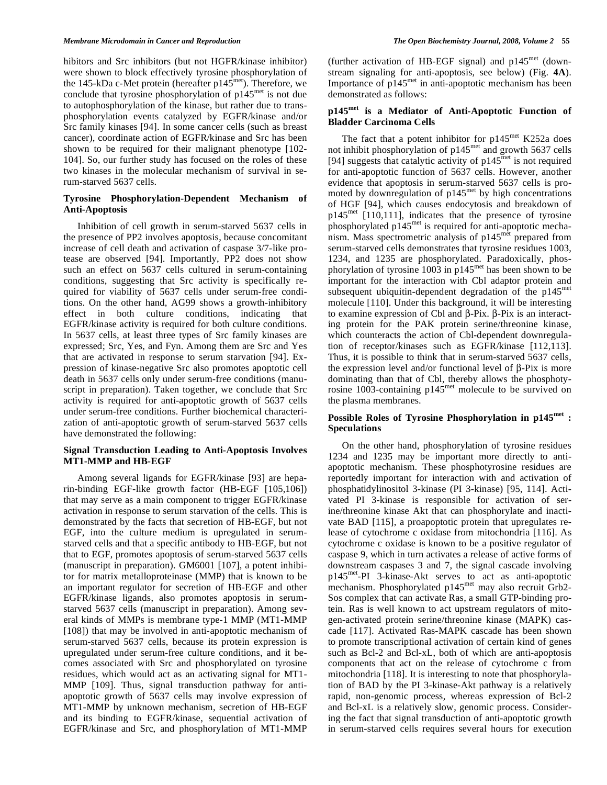hibitors and Src inhibitors (but not HGFR/kinase inhibitor) were shown to block effectively tyrosine phosphorylation of the 145-kDa c-Met protein (hereafter p145<sup>met</sup>). Therefore, we conclude that tyrosine phosphorylation of  $p145<sup>met</sup>$  is not due to autophosphorylation of the kinase, but rather due to transphosphorylation events catalyzed by EGFR/kinase and/or Src family kinases [94]. In some cancer cells (such as breast cancer), coordinate action of EGFR/kinase and Src has been shown to be required for their malignant phenotype [102- 104]. So, our further study has focused on the roles of these two kinases in the molecular mechanism of survival in serum-starved 5637 cells.

## **Tyrosine Phosphorylation-Dependent Mechanism of Anti-Apoptosis**

 Inhibition of cell growth in serum-starved 5637 cells in the presence of PP2 involves apoptosis, because concomitant increase of cell death and activation of caspase 3/7-like protease are observed [94]. Importantly, PP2 does not show such an effect on 5637 cells cultured in serum-containing conditions, suggesting that Src activity is specifically required for viability of 5637 cells under serum-free conditions. On the other hand, AG99 shows a growth-inhibitory effect in both culture conditions, indicating that EGFR/kinase activity is required for both culture conditions. In 5637 cells, at least three types of Src family kinases are expressed; Src, Yes, and Fyn. Among them are Src and Yes that are activated in response to serum starvation [94]. Expression of kinase-negative Src also promotes apoptotic cell death in 5637 cells only under serum-free conditions (manuscript in preparation). Taken together, we conclude that Src activity is required for anti-apoptotic growth of 5637 cells under serum-free conditions. Further biochemical characterization of anti-apoptotic growth of serum-starved 5637 cells have demonstrated the following:

## **Signal Transduction Leading to Anti-Apoptosis Involves MT1-MMP and HB-EGF**

 Among several ligands for EGFR/kinase [93] are heparin-binding EGF-like growth factor (HB-EGF [105,106]) that may serve as a main component to trigger EGFR/kinase activation in response to serum starvation of the cells. This is demonstrated by the facts that secretion of HB-EGF, but not EGF, into the culture medium is upregulated in serumstarved cells and that a specific antibody to HB-EGF, but not that to EGF, promotes apoptosis of serum-starved 5637 cells (manuscript in preparation). GM6001 [107], a potent inhibitor for matrix metalloproteinase (MMP) that is known to be an important regulator for secretion of HB-EGF and other EGFR/kinase ligands, also promotes apoptosis in serumstarved 5637 cells (manuscript in preparation). Among several kinds of MMPs is membrane type-1 MMP (MT1-MMP [108]) that may be involved in anti-apoptotic mechanism of serum-starved 5637 cells, because its protein expression is upregulated under serum-free culture conditions, and it becomes associated with Src and phosphorylated on tyrosine residues, which would act as an activating signal for MT1- MMP [109]. Thus, signal transduction pathway for antiapoptotic growth of 5637 cells may involve expression of MT1-MMP by unknown mechanism, secretion of HB-EGF and its binding to EGFR/kinase, sequential activation of EGFR/kinase and Src, and phosphorylation of MT1-MMP

(further activation of HB-EGF signal) and  $p145^{met}$  (downstream signaling for anti-apoptosis, see below) (Fig. **4A**). Importance of p145met in anti-apoptotic mechanism has been demonstrated as follows:

# **p145met is a Mediator of Anti-Apoptotic Function of Bladder Carcinoma Cells**

The fact that a potent inhibitor for  $p145^{\text{met}}$  K252a does not inhibit phosphorylation of p145met and growth 5637 cells [94] suggests that catalytic activity of  $p145<sup>met</sup>$  is not required for anti-apoptotic function of 5637 cells. However, another evidence that apoptosis in serum-starved 5637 cells is promoted by downregulation of  $p145<sup>met</sup>$  by high concentrations of HGF [94], which causes endocytosis and breakdown of p145met [110,111], indicates that the presence of tyrosine phosphorylated p145met is required for anti-apoptotic mechanism. Mass spectrometric analysis of p145<sup>met</sup> prepared from serum-starved cells demonstrates that tyrosine residues 1003, 1234, and 1235 are phosphorylated. Paradoxically, phosphorylation of tyrosine 1003 in p145met has been shown to be important for the interaction with Cbl adaptor protein and subsequent ubiquitin-dependent degradation of the p145<sup>met</sup> molecule [110]. Under this background, it will be interesting to examine expression of Cbl and  $\beta$ -Pix.  $\beta$ -Pix is an interacting protein for the PAK protein serine/threonine kinase, which counteracts the action of Cbl-dependent downregulation of receptor/kinases such as EGFR/kinase [112,113]. Thus, it is possible to think that in serum-starved 5637 cells, the expression level and/or functional level of  $\beta$ -Pix is more dominating than that of Cbl, thereby allows the phosphotyrosine 1003-containing p145<sup>met</sup> molecule to be survived on the plasma membranes.

## **Possible Roles of Tyrosine Phosphorylation in p145met : Speculations**

 On the other hand, phosphorylation of tyrosine residues 1234 and 1235 may be important more directly to antiapoptotic mechanism. These phosphotyrosine residues are reportedly important for interaction with and activation of phosphatidylinositol 3-kinase (PI 3-kinase) [95, 114]. Activated PI 3-kinase is responsible for activation of serine/threonine kinase Akt that can phosphorylate and inactivate BAD [115], a proapoptotic protein that upregulates release of cytochrome c oxidase from mitochondria [116]. As cytochrome c oxidase is known to be a positive regulator of caspase 9, which in turn activates a release of active forms of downstream caspases 3 and 7, the signal cascade involving p145met-PI 3-kinase-Akt serves to act as anti-apoptotic mechanism. Phosphorylated p145<sup>met</sup> may also recruit Grb2-Sos complex that can activate Ras, a small GTP-binding protein. Ras is well known to act upstream regulators of mitogen-activated protein serine/threonine kinase (MAPK) cascade [117]. Activated Ras-MAPK cascade has been shown to promote transcriptional activation of certain kind of genes such as Bcl-2 and Bcl-xL, both of which are anti-apoptosis components that act on the release of cytochrome c from mitochondria [118]. It is interesting to note that phosphorylation of BAD by the PI 3-kinase-Akt pathway is a relatively rapid, non-genomic process, whereas expression of Bcl-2 and Bcl-xL is a relatively slow, genomic process. Considering the fact that signal transduction of anti-apoptotic growth in serum-starved cells requires several hours for execution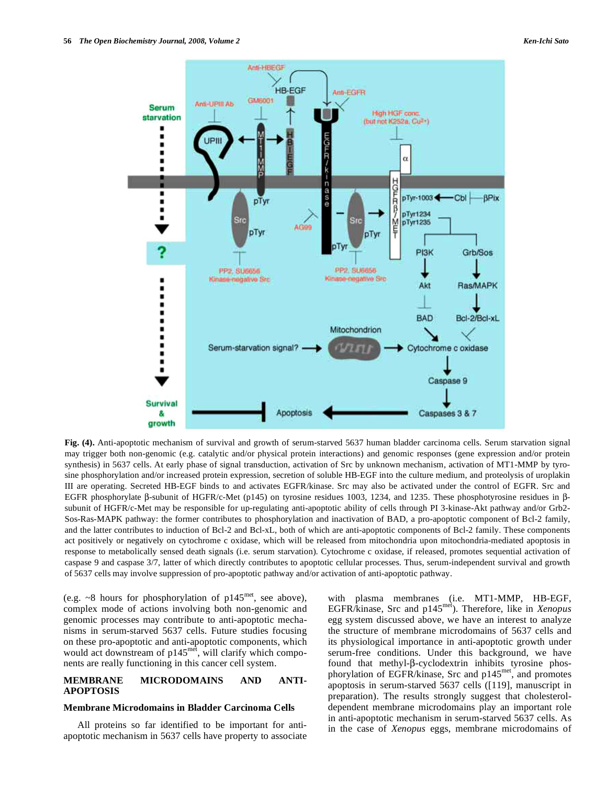

**Fig. (4).** Anti-apoptotic mechanism of survival and growth of serum-starved 5637 human bladder carcinoma cells. Serum starvation signal may trigger both non-genomic (e.g. catalytic and/or physical protein interactions) and genomic responses (gene expression and/or protein synthesis) in 5637 cells. At early phase of signal transduction, activation of Src by unknown mechanism, activation of MT1-MMP by tyrosine phosphorylation and/or increased protein expression, secretion of soluble HB-EGF into the culture medium, and proteolysis of uroplakin III are operating. Secreted HB-EGF binds to and activates EGFR/kinase. Src may also be activated under the control of EGFR. Src and EGFR phosphorylate  $\beta$ -subunit of HGFR/c-Met (p145) on tyrosine residues 1003, 1234, and 1235. These phosphotyrosine residues in  $\beta$ subunit of HGFR/c-Met may be responsible for up-regulating anti-apoptotic ability of cells through PI 3-kinase-Akt pathway and/or Grb2- Sos-Ras-MAPK pathway: the former contributes to phosphorylation and inactivation of BAD, a pro-apoptotic component of Bcl-2 family, and the latter contributes to induction of Bcl-2 and Bcl-xL, both of which are anti-apoptotic components of Bcl-2 family. These components act positively or negatively on cytochrome c oxidase, which will be released from mitochondria upon mitochondria-mediated apoptosis in response to metabolically sensed death signals (i.e. serum starvation). Cytochrome c oxidase, if released, promotes sequential activation of caspase 9 and caspase 3/7, latter of which directly contributes to apoptotic cellular processes. Thus, serum-independent survival and growth of 5637 cells may involve suppression of pro-apoptotic pathway and/or activation of anti-apoptotic pathway.

(e.g.  $\sim$ 8 hours for phosphorylation of p145<sup>met</sup>, see above), complex mode of actions involving both non-genomic and genomic processes may contribute to anti-apoptotic mechanisms in serum-starved 5637 cells. Future studies focusing on these pro-apoptotic and anti-apoptotic components, which would act downstream of p145<sup>met</sup>, will clarify which components are really functioning in this cancer cell system.

## **MEMBRANE MICRODOMAINS AND ANTI-APOPTOSIS**

#### **Membrane Microdomains in Bladder Carcinoma Cells**

 All proteins so far identified to be important for antiapoptotic mechanism in 5637 cells have property to associate with plasma membranes (i.e. MT1-MMP, HB-EGF, EGFR/kinase, Src and p145met). Therefore, like in *Xenopus* egg system discussed above, we have an interest to analyze the structure of membrane microdomains of 5637 cells and its physiological importance in anti-apoptotic growth under serum-free conditions. Under this background, we have found that methyl- $\beta$ -cyclodextrin inhibits tyrosine phosphorylation of EGFR/kinase, Src and p145<sup>met</sup>, and promotes apoptosis in serum-starved 5637 cells ([119], manuscript in preparation). The results strongly suggest that cholesteroldependent membrane microdomains play an important role in anti-apoptotic mechanism in serum-starved 5637 cells. As in the case of *Xenopus* eggs, membrane microdomains of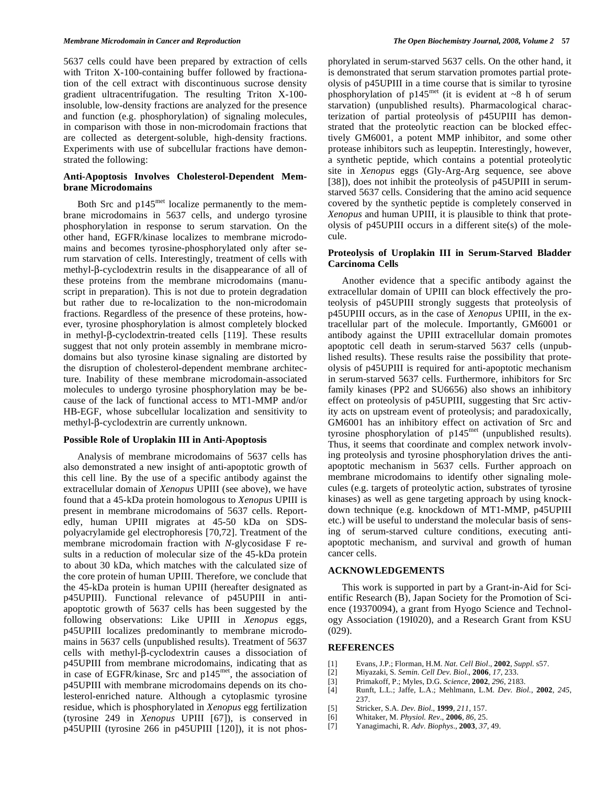5637 cells could have been prepared by extraction of cells with Triton X-100-containing buffer followed by fractionation of the cell extract with discontinuous sucrose density gradient ultracentrifugation. The resulting Triton X-100 insoluble, low-density fractions are analyzed for the presence and function (e.g. phosphorylation) of signaling molecules, in comparison with those in non-microdomain fractions that are collected as detergent-soluble, high-density fractions. Experiments with use of subcellular fractions have demonstrated the following:

## **Anti-Apoptosis Involves Cholesterol-Dependent Membrane Microdomains**

Both Src and  $p145<sup>met</sup>$  localize permanently to the membrane microdomains in 5637 cells, and undergo tyrosine phosphorylation in response to serum starvation. On the other hand, EGFR/kinase localizes to membrane microdomains and becomes tyrosine-phosphorylated only after serum starvation of cells. Interestingly, treatment of cells with methyl- $\beta$ -cyclodextrin results in the disappearance of all of these proteins from the membrane microdomains (manuscript in preparation). This is not due to protein degradation but rather due to re-localization to the non-microdomain fractions. Regardless of the presence of these proteins, however, tyrosine phosphorylation is almost completely blocked in methyl- $\beta$ -cyclodextrin-treated cells [119]. These results suggest that not only protein assembly in membrane microdomains but also tyrosine kinase signaling are distorted by the disruption of cholesterol-dependent membrane architecture. Inability of these membrane microdomain-associated molecules to undergo tyrosine phosphorylation may be because of the lack of functional access to MT1-MMP and/or HB-EGF, whose subcellular localization and sensitivity to methyl- $\beta$ -cyclodextrin are currently unknown.

#### **Possible Role of Uroplakin III in Anti-Apoptosis**

 Analysis of membrane microdomains of 5637 cells has also demonstrated a new insight of anti-apoptotic growth of this cell line. By the use of a specific antibody against the extracellular domain of *Xenopus* UPIII (see above), we have found that a 45-kDa protein homologous to *Xenopus* UPIII is present in membrane microdomains of 5637 cells. Reportedly, human UPIII migrates at 45-50 kDa on SDSpolyacrylamide gel electrophoresis [70,72]. Treatment of the membrane microdomain fraction with *N*-glycosidase F results in a reduction of molecular size of the 45-kDa protein to about 30 kDa, which matches with the calculated size of the core protein of human UPIII. Therefore, we conclude that the 45-kDa protein is human UPIII (hereafter designated as p45UPIII). Functional relevance of p45UPIII in antiapoptotic growth of 5637 cells has been suggested by the following observations: Like UPIII in *Xenopus* eggs, p45UPIII localizes predominantly to membrane microdomains in 5637 cells (unpublished results). Treatment of 5637 cells with methyl- $\beta$ -cyclodextrin causes a dissociation of p45UPIII from membrane microdomains, indicating that as in case of EGFR/kinase, Src and p145<sup>met</sup>, the association of p45UPIII with membrane microdomains depends on its cholesterol-enriched nature. Although a cytoplasmic tyrosine residue, which is phosphorylated in *Xenopus* egg fertilization (tyrosine 249 in *Xenopus* UPIII [67]), is conserved in p45UPIII (tyrosine 266 in p45UPIII [120]), it is not phosphorylated in serum-starved 5637 cells. On the other hand, it is demonstrated that serum starvation promotes partial proteolysis of p45UPIII in a time course that is similar to tyrosine phosphorylation of  $p145<sup>met</sup>$  (it is evident at ~8 h of serum starvation) (unpublished results). Pharmacological characterization of partial proteolysis of p45UPIII has demonstrated that the proteolytic reaction can be blocked effectively GM6001, a potent MMP inhibitor, and some other protease inhibitors such as leupeptin. Interestingly, however, a synthetic peptide, which contains a potential proteolytic site in *Xenopus* eggs (Gly-Arg-Arg sequence, see above [38]), does not inhibit the proteolysis of p45UPIII in serumstarved 5637 cells. Considering that the amino acid sequence covered by the synthetic peptide is completely conserved in *Xenopus* and human UPIII, it is plausible to think that proteolysis of p45UPIII occurs in a different site(s) of the molecule.

#### **Proteolysis of Uroplakin III in Serum-Starved Bladder Carcinoma Cells**

 Another evidence that a specific antibody against the extracellular domain of UPIII can block effectively the proteolysis of p45UPIII strongly suggests that proteolysis of p45UPIII occurs, as in the case of *Xenopus* UPIII, in the extracellular part of the molecule. Importantly, GM6001 or antibody against the UPIII extracellular domain promotes apoptotic cell death in serum-starved 5637 cells (unpublished results). These results raise the possibility that proteolysis of p45UPIII is required for anti-apoptotic mechanism in serum-starved 5637 cells. Furthermore, inhibitors for Src family kinases (PP2 and SU6656) also shows an inhibitory effect on proteolysis of p45UPIII, suggesting that Src activity acts on upstream event of proteolysis; and paradoxically, GM6001 has an inhibitory effect on activation of Src and tyrosine phosphorylation of p145met (unpublished results). Thus, it seems that coordinate and complex network involving proteolysis and tyrosine phosphorylation drives the antiapoptotic mechanism in 5637 cells. Further approach on membrane microdomains to identify other signaling molecules (e.g. targets of proteolytic action, substrates of tyrosine kinases) as well as gene targeting approach by using knockdown technique (e.g. knockdown of MT1-MMP, p45UPIII etc.) will be useful to understand the molecular basis of sensing of serum-starved culture conditions, executing antiapoptotic mechanism, and survival and growth of human cancer cells.

#### **ACKNOWLEDGEMENTS**

 This work is supported in part by a Grant-in-Aid for Scientific Research (B), Japan Society for the Promotion of Science (19370094), a grant from Hyogo Science and Technology Association (19I020), and a Research Grant from KSU (029).

#### **REFERENCES**

- [1] Evans, J.P.; Florman, H.M. *Nat. Cell Biol*., **2002**, *Suppl.* s57.
- [2] Miyazaki, S. *Semin. Cell Dev. Biol*., **2006**, *17*, 233.
- [3] Primakoff, P.; Myles, D.G. *Science*, **2002**, *296*, 2183.
- [4] Runft, L.L.; Jaffe, L.A.; Mehlmann, L.M. *Dev. Biol*., **2002**, *245*, 237.
- [5] Stricker, S.A. *Dev. Biol*., **1999**, *211*, 157.
- [6] Whitaker, M. *Physiol. Rev*., **2006**, *86*, 25.
- [7] Yanagimachi, R. *Adv. Biophys*., **2003**, *37*, 49.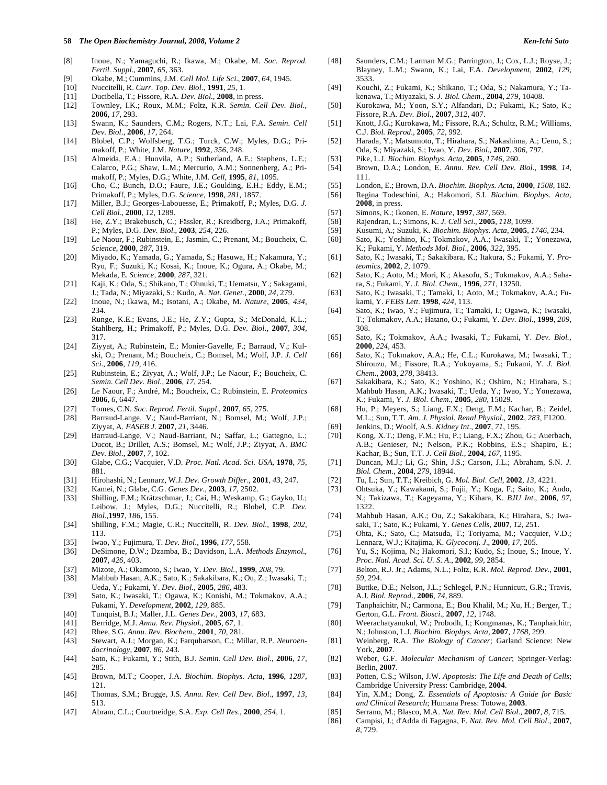#### **58** *The Open Biochemistry Journal, 2008, Volume 2 Ken-Ichi Sato*

- [8] Inoue, N.; Yamaguchi, R.; Ikawa, M.; Okabe, M. *Soc. Reprod. Fertil. Suppl*., **2007**, *65*, 363.
- [9] Okabe, M.; Cummins, J.M. *Cell Mol. Life Sci*., **2007**, *64*, 1945.
- [10] Nuccitelli, R. *Curr. Top. Dev. Biol*., **1991**, *25*, 1.
- [11] Ducibella, T.; Fissore, R.A. *Dev. Biol*., **2008**, in press.
- [12] Townley, I.K.; Roux, M.M.; Foltz, K.R. *Semin. Cell Dev. Biol*., **2006**, *17*, 293.
- [13] Swann, K.; Saunders, C.M.; Rogers, N.T.; Lai, F.A. *Semin. Cell Dev. Biol*., **2006**, *17*, 264.
- [14] Blobel, C.P.; Wolfsberg, T.G.; Turck, C.W.; Myles, D.G.; Primakoff, P.; White, J.M. *Nature*, **1992**, *356*, 248.
- [15] Almeida, E.A.; Huovila, A.P.; Sutherland, A.E.; Stephens, L.E.; Calarco, P.G.; Shaw, L.M.; Mercurio, A.M.; Sonnenberg, A.; Primakoff, P.; Myles, D.G.; White, J.M. *Cell*, **1995**, *81*, 1095.
- [16] Cho, C.; Bunch, D.O.; Faure, J.E.; Goulding, E.H.; Eddy, E.M.; Primakoff, P.; Myles, D.G. *Science*, **1998**, *281*, 1857.
- [17] Miller, B.J.; Georges-Labouesse, E.; Primakoff, P.; Myles, D.G. *J. Cell Biol*., **2000**, *12*, 1289.
- [18] He, Z.Y.; Brakebusch, C.; Fässler, R.; Kreidberg, J.A.; Primakoff, P.; Myles, D.G. *Dev. Biol*., **2003**, *254*, 226.
- [19] Le Naour, F.; Rubinstein, E.; Jasmin, C.; Prenant, M.; Boucheix, C. *Science*, **2000**, *287*, 319.
- [20] Miyado, K.; Yamada, G.; Yamada, S.; Hasuwa, H.; Nakamura, Y.; Ryu, F.; Suzuki, K.; Kosai, K.; Inoue, K.; Ogura, A.; Okabe, M.; Mekada, E. *Science*, **2000**, *287*, 321.
- [21] Kaji, K.; Oda, S.; Shikano, T.; Ohnuki, T.; Uematsu, Y.; Sakagami, J.; Tada, N.; Miyazaki, S.; Kudo, A. *Nat. Genet*., **2000**, *24*, 279.
- [22] Inoue, N.; Ikawa, M.; Isotani, A.; Okabe, M. *Nature*, **2005**, *434*, 234.
- [23] Runge, K.E.; Evans, J.E.; He, Z.Y.; Gupta, S.; McDonald, K.L.; Stahlberg, H.; Primakoff, P.; Myles, D.G. *Dev. Biol*., **2007**, *304*, 317.
- [24] Ziyyat, A.; Rubinstein, E.; Monier-Gavelle, F.; Barraud, V.; Kulski, O.; Prenant, M.; Boucheix, C.; Bomsel, M.; Wolf, J.P. *J. Cell Sci*., **2006**, *119*, 416.
- [25] Rubinstein, E.; Ziyyat, A.; Wolf, J.P.; Le Naour, F.; Boucheix, C. *Semin. Cell Dev. Biol*., **2006**, *17*, 254.
- [26] Le Naour, F.; André, M.; Boucheix, C.; Rubinstein, E. *Proteomics* **2006**, *6*, 6447.
- [27] Tomes, C.N. *Soc. Reprod. Fertil. Suppl*., **2007**, *65*, 275.
- [28] Barraud-Lange, V.; Naud-Barriant, N.; Bomsel, M.; Wolf, J.P.; Ziyyat, A. *FASEB J*. **2007**, *21*, 3446.
- [29] Barraud-Lange, V.; Naud-Barriant, N.; Saffar, L.; Gattegno, L.; Ducot, B.; Drillet, A.S.; Bomsel, M.; Wolf, J.P.; Ziyyat, A. *BMC Dev. Biol*., **2007**, *7*, 102.
- [30] Glabe, C.G.; Vacquier, V.D. *Proc. Natl. Acad. Sci. USA,* **1978**, *75*, 881.
- [31] Hirohashi, N.; Lennarz, W.J. *Dev. Growth Differ*., **2001**, *43*, 247.
- [32] Kamei, N.; Glabe, C.G. *Genes Dev*., **2003**, *17*, 2502.
- [33] Shilling, F.M.; Krätzschmar, J.; Cai, H.; Weskamp, G.; Gayko, U.; Leibow, J.; Myles, D.G.; Nuccitelli, R.; Blobel, C.P. *Dev. Biol*.,**1997**, *186*, 155.
- [34] Shilling, F.M.; Magie, C.R.; Nuccitelli, R. *Dev. Biol*., **1998**, *202*, 113.
- [35] Iwao, Y.; Fujimura, T. *Dev. Biol*., **1996**, *177*, 558.
- [36] DeSimone, D.W.; Dzamba, B.; Davidson, L.A. *Methods Enzymol*., **2007**, *426*, 403.
- [37] Mizote, A.; Okamoto, S.; Iwao, Y. *Dev. Biol*., **1999**, *208*, 79.
- [38] Mahbub Hasan, A.K.; Sato, K.; Sakakibara, K.; Ou, Z.; Iwasaki, T.; Ueda, Y.; Fukami, Y. *Dev. Biol*., **2005***, 286*, 483.
- [39] Sato, K.; Iwasaki, T.; Ogawa, K.; Konishi, M.; Tokmakov, A.A.; Fukami, Y. *Development*, **2002**, *129*, 885.
- [40] Tunquist, B.J.; Maller, J.L. *Genes Dev*., **2003**, *17*, 683.
- [41] Berridge, M.J. *Annu. Rev. Physiol*., **2005**, *67*, 1.
- [42] Rhee, S.G. *Annu. Rev. Biochem*., **2001**, *70*, 281.
- [43] Stewart, A.J.; Morgan, K.; Farquharson, C.; Millar, R.P. *Neuroendocrinology*, **2007**, *86*, 243.
- [44] Sato, K.; Fukami, Y.; Stith, B.J. *Semin. Cell Dev. Biol*., **2006**, *17*, 285.
- [45] Brown, M.T.; Cooper, J.A. *Biochim. Biophys. Acta*, **1996**, *1287*, 121.
- [46] Thomas, S.M.; Brugge, J.S. *Annu. Rev. Cell Dev. Biol*., **1997**, *13*, 513.
- [47] Abram, C.L.; Courtneidge, S.A. *Exp. Cell Res*., **2000**, *254*, 1.
- [48] Saunders, C.M.; Larman M.G.; Parrington, J.; Cox, L.J.; Royse, J.; Blayney, L.M.; Swann, K.; Lai, F.A. *Development*, **2002**, *129*, 3533.
- [49] Kouchi, Z.; Fukami, K.; Shikano, T.; Oda, S.; Nakamura, Y.; Takenawa, T.; Miyazaki, S. *J. Biol. Chem*., **2004**, *279*, 10408.
- [50] Kurokawa, M.; Yoon, S.Y.; Alfandari, D.; Fukami, K.; Sato, K.; Fissore, R.A. *Dev. Biol*., **2007**, *312*, 407.
- [51] Knott, J.G.; Kurokawa, M.; Fissore, R.A.; Schultz, R.M.; Williams, C.J. *Biol. Reprod*., **2005**, *72*, 992.
- [52] Harada, Y.; Matsumoto, T.; Hirahara, S.; Nakashima, A.; Ueno, S.; Oda, S.; Miyazaki, S.; Iwao, Y. *Dev. Biol.*, **2007**, *306*, 797.
- [53] Pike, L.J. *Biochim. Biophys. Acta*, **2005**, *1746*, 260. [54] Brown, D.A.; London, E. *Annu. Rev. Cell Dev. Biol*., **1998**, *14*,
- 111.
- [55] London, E.; Brown, D.A. *Biochim. Biophys. Acta*, **2000**, *1508*, 182.
- [56] Regina Todeschini, A.; Hakomori, S.I. *Biochim. Biophys. Acta*, **2008**, in press.
- [57] Simons, K.; Ikonen, E. *Nature,* **1997**, *387*, 569.
- [58] Rajendran, L.; Simons, K. *J. Cell Sci*., **2005**, *118*, 1099.
- [59] Kusumi, A.; Suzuki, K. *Biochim. Biophys. Acta*, **2005**, *1746*, 234.
- [60] Sato, K.; Yoshino, K.; Tokmakov, A.A.; Iwasaki, T.; Yonezawa,
- K.; Fukami, Y. *Methods Mol. Biol*., **2006**, *322*, 395. [61] Sato, K.; Iwasaki, T.; Sakakibara, K.; Itakura, S.; Fukami, Y. *Proteomics*, **2002**, *2*, 1079.
- [62] Sato, K.; Aoto, M.; Mori, K.; Akasofu, S.; Tokmakov, A.A.; Sahara, S.; Fukami, Y. *J. Biol. Chem*., **1996**, *271*, 13250.
- [63] Sato, K.; Iwasaki, T.; Tamaki, I.; Aoto, M.; Tokmakov, A.A.; Fukami, Y. *FEBS Lett*. **1998**, *424*, 113.
- [64] Sato, K.; Iwao, Y.; Fujimura, T.; Tamaki, I.; Ogawa, K.; Iwasaki, T.; Tokmakov, A.A.; Hatano, O.; Fukami, Y. *Dev. Biol*., **1999**, *209*, 308.
- [65] Sato, K.; Tokmakov, A.A.; Iwasaki, T.; Fukami, Y. *Dev. Biol.,* **2000**, *224*, 453.
- [66] Sato, K.; Tokmakov, A.A.; He, C.L.; Kurokawa, M.; Iwasaki, T.; Shirouzu, M.; Fissore, R.A.; Yokoyama, S.; Fukami, Y. *J. Biol. Chem*., **2003**, *278*, 38413.
- [67] Sakakibara, K.; Sato, K.; Yoshino, K.; Oshiro, N.; Hirahara, S.; Mahbub Hasan, A.K.; Iwasaki, T.; Ueda, Y.; Iwao, Y.; Yonezawa, K.; Fukami, Y. *J. Biol. Chem*., **2005**, *280*, 15029.
- [68] Hu, P.; Meyers, S.; Liang, F.X.; Deng, F.M.; Kachar, B.; Zeidel, M.L.; Sun, T.T. *Am. J. Physiol. Renal Physiol*., **2002**, *283*, F1200.
- [69] Jenkins, D.; Woolf, A.S. *Kidney Int*., **2007**, *71*, 195.
- [70] Kong, X.T.; Deng, F.M.; Hu, P.; Liang, F.X.; Zhou, G.; Auerbach, A.B.; Genieser, N.; Nelson, P.K.; Robbins, E.S.; Shapiro, E.; Kachar, B.; Sun, T.T. *J. Cell Biol*., **2004**, *167*, 1195.
- [71] Duncan, M.J.; Li, G.; Shin, J.S.; Carson, J.L.; Abraham, S.N. *J. Biol. Chem*., **2004**, *279*, 18944.
- [72] Tu, L.; Sun, T.T.; Kreibich, G. *Mol. Biol. Cell,* **2002**, *13*, 4221.
- [73] Ohtsuka, Y.; Kawakami, S.; Fujii, Y.; Koga, F.; Saito, K.; Ando, N.; Takizawa, T.; Kageyama, Y.; Kihara, K. *BJU Int*., **2006**, *97*, 1322.
- [74] Mahbub Hasan, A.K.; Ou, Z.; Sakakibara, K.; Hirahara, S.; Iwasaki, T.; Sato, K.; Fukami, Y. *Genes Cells*, **2007**, *12*, 251.
- [75] Ohta, K.; Sato, C.; Matsuda, T.; Toriyama, M.; Vacquier, V.D.; Lennarz, W.J.; Kitajima, K. *Glycoconj. J*., **2000**, *17*, 205.
- [76] Yu, S.; Kojima, N.; Hakomori, S.I.; Kudo, S.; Inoue, S.; Inoue, Y. *Proc. Natl. Acad. Sci. U. S. A.*, **2002**, *99*, 2854.
- [77] Belton, R.J. Jr.; Adams, N.L.; Foltz, K.R. *Mol. Reprod. Dev*., **2001**, *59*, 294.
- [78] Buttke, D.E.; Nelson, J.L.; Schlegel, P.N.; Hunnicutt, G.R.; Travis, A.J. *Biol. Reprod*., **2006**, *74*, 889.
- [79] Tanphaichitr, N.; Carmona, E.; Bou Khalil, M.; Xu, H.; Berger, T.; Gerton, G.L. *Front. Biosci*., **2007**, *12*, 1748.
- [80] Weerachatyanukul, W.; Probodh, I.; Kongmanas, K.; Tanphaichitr, N.; Johnston, L.J. *Biochim. Biophys. Acta*, **2007**, *1768*, 299.
- [81] Weinberg, R.A. *The Biology of Cancer*; Garland Science: New York, **2007**.
- [82] Weber, G.F. *Molecular Mechanism of Cancer*; Springer-Verlag: Berlin, **2007**.
- [83] Potten, C.S.; Wilson, J.W. *Apoptosis: The Life and Death of Cells*; Cambridge University Press: Cambridge, **2004**.
- [84] Yin, X.M.; Dong, Z. *Essentials of Apoptosis: A Guide for Basic and Clinical Research*; Humana Press: Totowa, **2003**.
- [85] Serrano, M.; Blasco, M.A. *Nat. Rev. Mol. Cell Biol*., **2007**, *8*, 715.
- [86] Campisi, J.; d'Adda di Fagagna, F. *Nat. Rev. Mol. Cell Biol*., **2007**, *8*, 729.